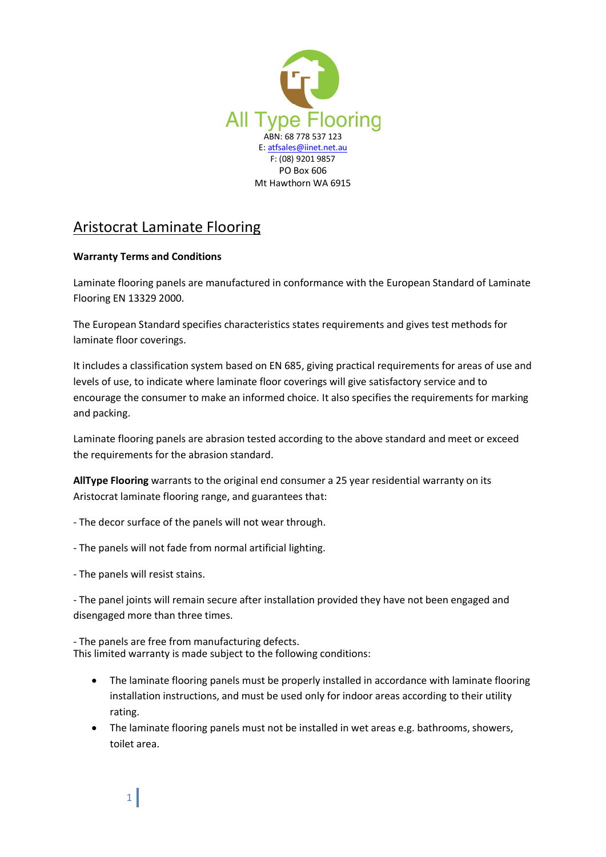

## Aristocrat Laminate Flooring

## **Warranty Terms and Conditions**

Laminate flooring panels are manufactured in conformance with the European Standard of Laminate Flooring EN 13329 2000.

The European Standard specifies characteristics states requirements and gives test methods for laminate floor coverings.

It includes a classification system based on EN 685, giving practical requirements for areas of use and levels of use, to indicate where laminate floor coverings will give satisfactory service and to encourage the consumer to make an informed choice. It also specifies the requirements for marking and packing.

Laminate flooring panels are abrasion tested according to the above standard and meet or exceed the requirements for the abrasion standard.

**AllType Flooring** warrants to the original end consumer a 25 year residential warranty on its Aristocrat laminate flooring range, and guarantees that:

- The decor surface of the panels will not wear through.
- The panels will not fade from normal artificial lighting.
- The panels will resist stains.

1

- The panel joints will remain secure after installation provided they have not been engaged and disengaged more than three times.

- The panels are free from manufacturing defects. This limited warranty is made subject to the following conditions:

- · The laminate flooring panels must be properly installed in accordance with laminate flooring installation instructions, and must be used only for indoor areas according to their utility rating.
- · The laminate flooring panels must not be installed in wet areas e.g. bathrooms, showers, toilet area.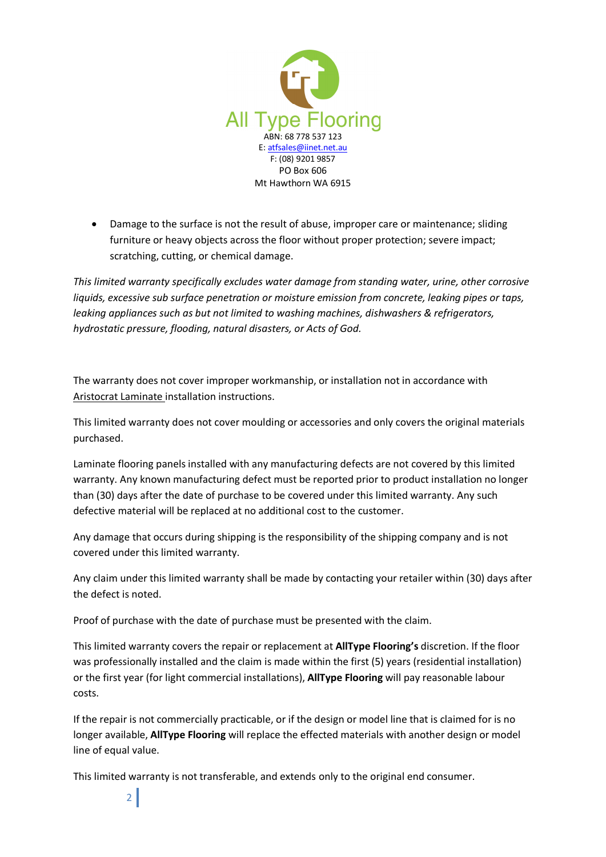

· Damage to the surface is not the result of abuse, improper care or maintenance; sliding furniture or heavy objects across the floor without proper protection; severe impact; scratching, cutting, or chemical damage.

*This limited warranty specifically excludes water damage from standing water, urine, other corrosive liquids, excessive sub surface penetration or moisture emission from concrete, leaking pipes or taps, leaking appliances such as but not limited to washing machines, dishwashers & refrigerators, hydrostatic pressure, flooding, natural disasters, or Acts of God.*

The warranty does not cover improper workmanship, or installation not in accordance with Aristocrat Laminate installation instructions.

This limited warranty does not cover moulding or accessories and only covers the original materials purchased.

Laminate flooring panels installed with any manufacturing defects are not covered by this limited warranty. Any known manufacturing defect must be reported prior to product installation no longer than (30) days after the date of purchase to be covered under this limited warranty. Any such defective material will be replaced at no additional cost to the customer.

Any damage that occurs during shipping is the responsibility of the shipping company and is not covered under this limited warranty.

Any claim under this limited warranty shall be made by contacting your retailer within (30) days after the defect is noted.

Proof of purchase with the date of purchase must be presented with the claim.

This limited warranty covers the repair or replacement at **AllType Flooring's** discretion. If the floor was professionally installed and the claim is made within the first (5) years (residential installation) or the first year (for light commercial installations), **AllType Flooring** will pay reasonable labour costs.

If the repair is not commercially practicable, or if the design or model line that is claimed for is no longer available, **AllType Flooring** will replace the effected materials with another design or model line of equal value.

This limited warranty is not transferable, and extends only to the original end consumer.